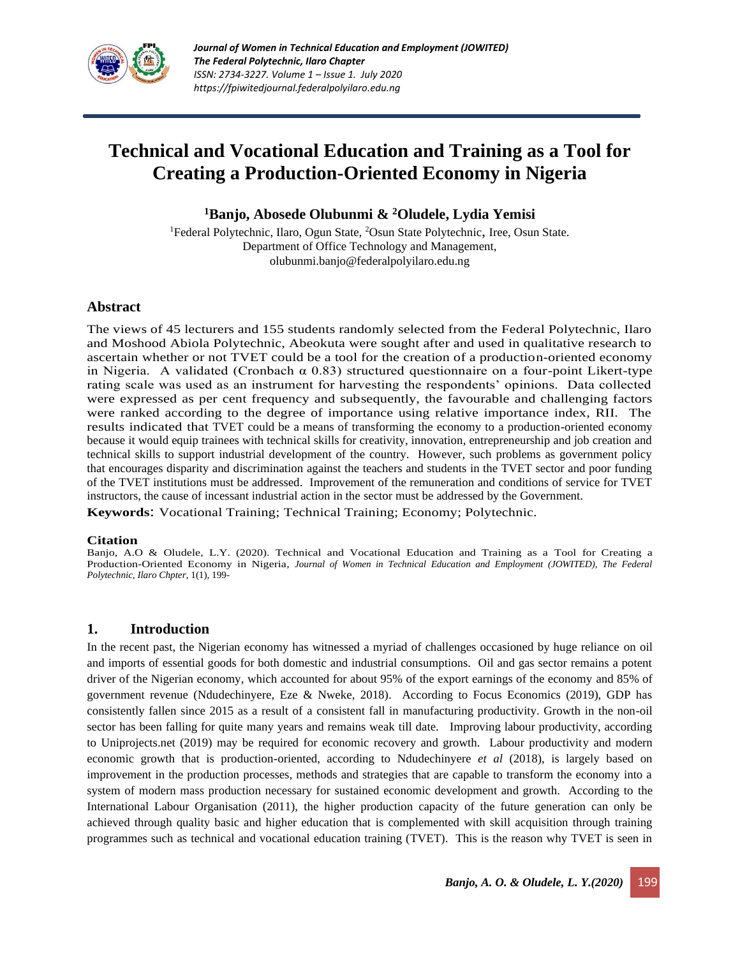

# **Technical and Vocational Education and Training as a Tool for Creating a Production-Oriented Economy in Nigeria**

**<sup>1</sup>Banjo, Abosede Olubunmi & <sup>2</sup>Oludele, Lydia Yemisi**

<sup>1</sup>Federal Polytechnic, Ilaro, Ogun State, <sup>2</sup>Osun State Polytechnic, Iree, Osun State. Department of Office Technology and Management, [olubunmi.banjo@federalpolyilaro.edu.ng](mailto:olubunmi.banjo@federalpolyilaro.edu.ng)

## **Abstract**

The views of 45 lecturers and 155 students randomly selected from the Federal Polytechnic, Ilaro and Moshood Abiola Polytechnic, Abeokuta were sought after and used in qualitative research to ascertain whether or not TVET could be a tool for the creation of a production-oriented economy in Nigeria. A validated (Cronbach  $\alpha$  0.83) structured questionnaire on a four-point Likert-type rating scale was used as an instrument for harvesting the respondents' opinions. Data collected were expressed as per cent frequency and subsequently, the favourable and challenging factors were ranked according to the degree of importance using relative importance index, RII. The results indicated that TVET could be a means of transforming the economy to a production-oriented economy because it would equip trainees with technical skills for creativity, innovation, entrepreneurship and job creation and technical skills to support industrial development of the country. However, such problems as government policy that encourages disparity and discrimination against the teachers and students in the TVET sector and poor funding of the TVET institutions must be addressed. Improvement of the remuneration and conditions of service for TVET instructors, the cause of incessant industrial action in the sector must be addressed by the Government.

**Keywords**: Vocational Training; Technical Training; Economy; Polytechnic.

#### **Citation**

Banjo, A.O & Oludele, L.Y. (2020). Technical and Vocational Education and Training as a Tool for Creating a Production-Oriented Economy in Nigeria*, Journal of Women in Technical Education and Employment (JOWITED), The Federal Polytechnic, Ilaro Chpter*, 1(1), 199-

## **1. Introduction**

In the recent past, the Nigerian economy has witnessed a myriad of challenges occasioned by huge reliance on oil and imports of essential goods for both domestic and industrial consumptions. Oil and gas sector remains a potent driver of the Nigerian economy, which accounted for about 95% of the export earnings of the economy and 85% of government revenue (Ndudechinyere, Eze & Nweke, 2018). According to Focus Economics (2019), GDP has consistently fallen since 2015 as a result of a consistent fall in manufacturing productivity. Growth in the non-oil sector has been falling for quite many years and remains weak till date. Improving labour productivity, according to Uniprojects.net (2019) may be required for economic recovery and growth. Labour productivity and modern economic growth that is production-oriented, according to Ndudechinyere *et al* (2018), is largely based on improvement in the production processes, methods and strategies that are capable to transform the economy into a system of modern mass production necessary for sustained economic development and growth. According to the International Labour Organisation (2011), the higher production capacity of the future generation can only be achieved through quality basic and higher education that is complemented with skill acquisition through training programmes such as technical and vocational education training (TVET). This is the reason why TVET is seen in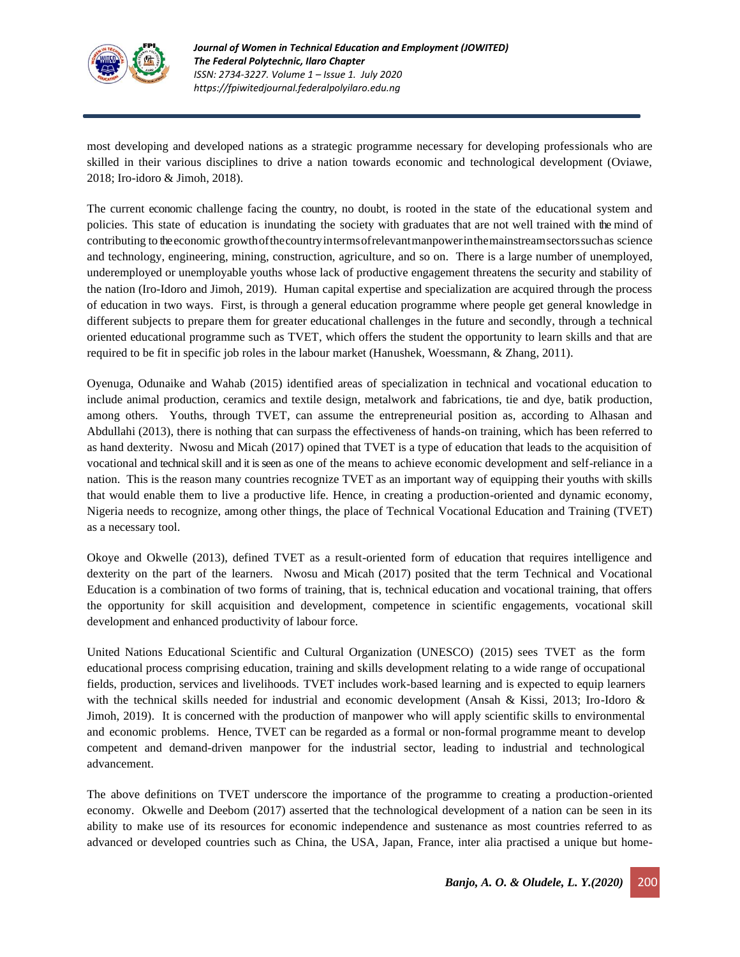

most developing and developed nations as a strategic programme necessary for developing professionals who are skilled in their various disciplines to drive a nation towards economic and technological development (Oviawe, 2018; Iro-idoro & Jimoh, 2018).

The current economic challenge facing the country, no doubt, is rooted in the state of the educational system and policies. This state of education is inundating the society with graduates that are not well trained with the mind of contributing to the economic growthofthecountryintermsofrelevantmanpowerinthemainstreamsectorssuchas science and technology, engineering, mining, construction, agriculture, and so on. There is a large number of unemployed, underemployed or unemployable youths whose lack of productive engagement threatens the security and stability of the nation (Iro-Idoro and Jimoh, 2019). Human capital expertise and specialization are acquired through the process of education in two ways. First, is through a general education programme where people get general knowledge in different subjects to prepare them for greater educational challenges in the future and secondly, through a technical oriented educational programme such as TVET, which offers the student the opportunity to learn skills and that are required to be fit in specific job roles in the labour market (Hanushek, Woessmann, & Zhang, 2011).

Oyenuga, Odunaike and Wahab (2015) identified areas of specialization in technical and vocational education to include animal production, ceramics and textile design, metalwork and fabrications, tie and dye, batik production, among others. Youths, through TVET, can assume the entrepreneurial position as, according to Alhasan and Abdullahi (2013), there is nothing that can surpass the effectiveness of hands-on training, which has been referred to as hand dexterity. Nwosu and Micah (2017) opined that TVET is a type of education that leads to the acquisition of vocational and technical skill and it is seen as one of the means to achieve economic development and self-reliance in a nation. This is the reason many countries recognize TVET as an important way of equipping their youths with skills that would enable them to live a productive life. Hence, in creating a production-oriented and dynamic economy, Nigeria needs to recognize, among other things, the place of Technical Vocational Education and Training (TVET) as a necessary tool.

Okoye and Okwelle (2013), defined TVET as a result-oriented form of education that requires intelligence and dexterity on the part of the learners. Nwosu and Micah (2017) posited that the term Technical and Vocational Education is a combination of two forms of training, that is, technical education and vocational training, that offers the opportunity for skill acquisition and development, competence in scientific engagements, vocational skill development and enhanced productivity of labour force.

United Nations Educational Scientific and Cultural Organization (UNESCO) (2015) sees TVET as the form educational process comprising education, training and skills development relating to a wide range of occupational fields, production, services and livelihoods. TVET includes work-based learning and is expected to equip learners with the technical skills needed for industrial and economic development (Ansah & Kissi, 2013; Iro-Idoro & Jimoh, 2019). It is concerned with the production of manpower who will apply scientific skills to environmental and economic problems. Hence, TVET can be regarded as a formal or non-formal programme meant to develop competent and demand-driven manpower for the industrial sector, leading to industrial and technological advancement.

The above definitions on TVET underscore the importance of the programme to creating a production-oriented economy. Okwelle and Deebom (2017) asserted that the technological development of a nation can be seen in its ability to make use of its resources for economic independence and sustenance as most countries referred to as advanced or developed countries such as China, the USA, Japan, France, inter alia practised a unique but home-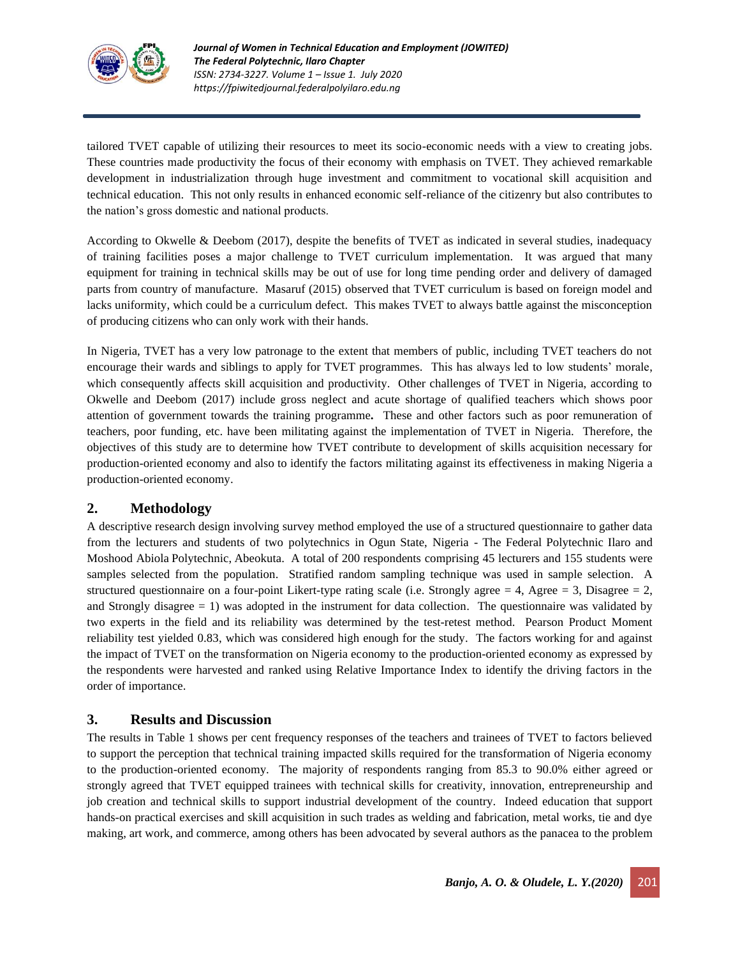

tailored TVET capable of utilizing their resources to meet its socio-economic needs with a view to creating jobs. These countries made productivity the focus of their economy with emphasis on TVET. They achieved remarkable development in industrialization through huge investment and commitment to vocational skill acquisition and technical education. This not only results in enhanced economic self-reliance of the citizenry but also contributes to the nation's gross domestic and national products.

According to Okwelle & Deebom (2017), despite the benefits of TVET as indicated in several studies, inadequacy of training facilities poses a major challenge to TVET curriculum implementation. It was argued that many equipment for training in technical skills may be out of use for long time pending order and delivery of damaged parts from country of manufacture. Masaruf (2015) observed that TVET curriculum is based on foreign model and lacks uniformity, which could be a curriculum defect. This makes TVET to always battle against the misconception of producing citizens who can only work with their hands.

In Nigeria, TVET has a very low patronage to the extent that members of public, including TVET teachers do not encourage their wards and siblings to apply for TVET programmes. This has always led to low students' morale, which consequently affects skill acquisition and productivity. Other challenges of TVET in Nigeria, according to Okwelle and Deebom (2017) include gross neglect and acute shortage of qualified teachers which shows poor attention of government towards the training programme*.* These and other factors such as poor remuneration of teachers, poor funding, etc. have been militating against the implementation of TVET in Nigeria. Therefore, the objectives of this study are to determine how TVET contribute to development of skills acquisition necessary for production-oriented economy and also to identify the factors militating against its effectiveness in making Nigeria a production-oriented economy.

## **2. Methodology**

A descriptive research design involving survey method employed the use of a structured questionnaire to gather data from the lecturers and students of two polytechnics in Ogun State, Nigeria - The Federal Polytechnic Ilaro and Moshood Abiola Polytechnic, Abeokuta. A total of 200 respondents comprising 45 lecturers and 155 students were samples selected from the population. Stratified random sampling technique was used in sample selection. A structured questionnaire on a four-point Likert-type rating scale (i.e. Strongly agree  $= 4$ , Agree  $= 3$ , Disagree  $= 2$ , and Strongly disagree  $= 1$ ) was adopted in the instrument for data collection. The questionnaire was validated by two experts in the field and its reliability was determined by the test-retest method. Pearson Product Moment reliability test yielded 0.83, which was considered high enough for the study. The factors working for and against the impact of TVET on the transformation on Nigeria economy to the production-oriented economy as expressed by the respondents were harvested and ranked using Relative Importance Index to identify the driving factors in the order of importance.

## **3. Results and Discussion**

The results in Table 1 shows per cent frequency responses of the teachers and trainees of TVET to factors believed to support the perception that technical training impacted skills required for the transformation of Nigeria economy to the production-oriented economy. The majority of respondents ranging from 85.3 to 90.0% either agreed or strongly agreed that TVET equipped trainees with technical skills for creativity, innovation, entrepreneurship and job creation and technical skills to support industrial development of the country. Indeed education that support hands-on practical exercises and skill acquisition in such trades as welding and fabrication, metal works, tie and dye making, art work, and commerce, among others has been advocated by several authors as the panacea to the problem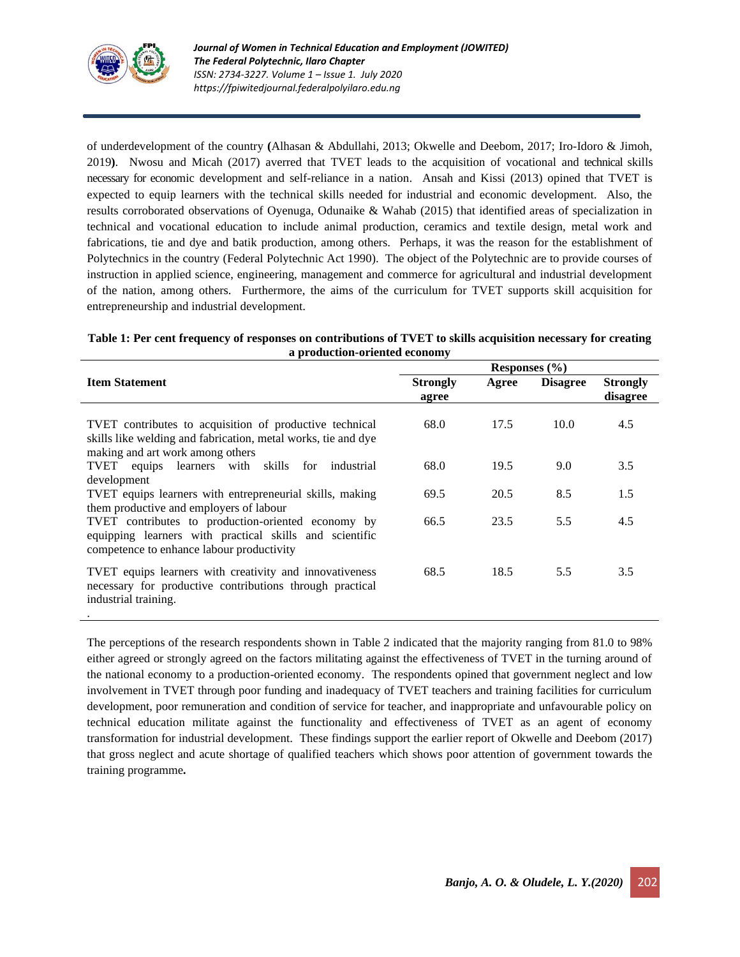

of underdevelopment of the country **(**Alhasan & Abdullahi, 2013; Okwelle and Deebom, 2017; Iro-Idoro & Jimoh, 2019**)**. Nwosu and Micah (2017) averred that TVET leads to the acquisition of vocational and technical skills necessary for economic development and self-reliance in a nation. Ansah and Kissi (2013) opined that TVET is expected to equip learners with the technical skills needed for industrial and economic development. Also, the results corroborated observations of Oyenuga, Odunaike & Wahab (2015) that identified areas of specialization in technical and vocational education to include animal production, ceramics and textile design, metal work and fabrications, tie and dye and batik production, among others. Perhaps, it was the reason for the establishment of Polytechnics in the country (Federal Polytechnic Act 1990). The object of the Polytechnic are to provide courses of instruction in applied science, engineering, management and commerce for agricultural and industrial development of the nation, among others. Furthermore, the aims of the curriculum for TVET supports skill acquisition for entrepreneurship and industrial development.

| Table 1: Per cent frequency of responses on contributions of TVET to skills acquisition necessary for creating |
|----------------------------------------------------------------------------------------------------------------|
| a production-oriented economy                                                                                  |

|                                                                                                                                                              |                          | Responses $(\% )$ |                 |                             |
|--------------------------------------------------------------------------------------------------------------------------------------------------------------|--------------------------|-------------------|-----------------|-----------------------------|
| <b>Item Statement</b>                                                                                                                                        | <b>Strongly</b><br>agree | Agree             | <b>Disagree</b> | <b>Strongly</b><br>disagree |
| TVET contributes to acquisition of productive technical<br>skills like welding and fabrication, metal works, tie and dye<br>making and art work among others | 68.0                     | 17.5              | 10.0            | 4.5                         |
| TVET equips learners with skills for industrial                                                                                                              | 68.0                     | 19.5              | 9.0             | 3.5                         |
| development<br>TVET equips learners with entrepreneurial skills, making<br>them productive and employers of labour                                           | 69.5                     | 20.5              | 8.5             | 1.5                         |
| TVET contributes to production-oriented economy by<br>equipping learners with practical skills and scientific<br>competence to enhance labour productivity   | 66.5                     | 23.5              | 5.5             | 4.5                         |
| TVET equips learners with creativity and innovativeness<br>necessary for productive contributions through practical<br>industrial training.                  | 68.5                     | 18.5              | 5.5             | 3.5                         |
|                                                                                                                                                              |                          |                   |                 |                             |

The perceptions of the research respondents shown in Table 2 indicated that the majority ranging from 81.0 to 98% either agreed or strongly agreed on the factors militating against the effectiveness of TVET in the turning around of the national economy to a production-oriented economy. The respondents opined that government neglect and low involvement in TVET through poor funding and inadequacy of TVET teachers and training facilities for curriculum development, poor remuneration and condition of service for teacher, and inappropriate and unfavourable policy on technical education militate against the functionality and effectiveness of TVET as an agent of economy transformation for industrial development. These findings support the earlier report of Okwelle and Deebom (2017) that gross neglect and acute shortage of qualified teachers which shows poor attention of government towards the training programme*.*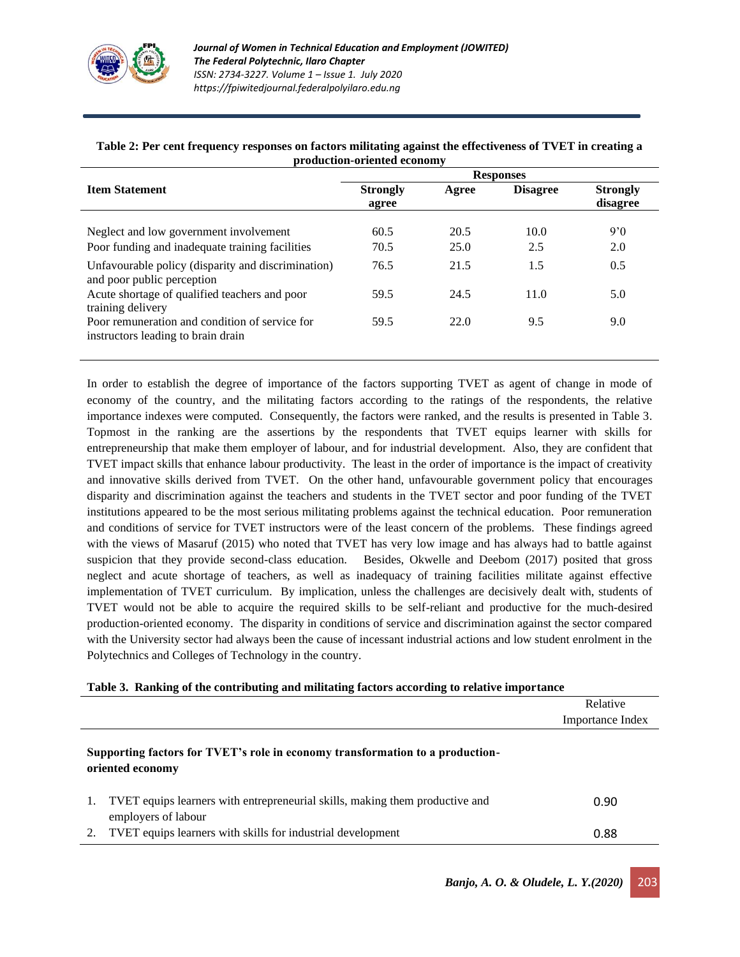

| Table 2: Per cent frequency responses on factors militating against the effectiveness of TVET in creating a |  |
|-------------------------------------------------------------------------------------------------------------|--|
| production-oriented economy                                                                                 |  |

|                                                                                           |                          |              | <b>Responses</b> |                             |
|-------------------------------------------------------------------------------------------|--------------------------|--------------|------------------|-----------------------------|
| <b>Item Statement</b>                                                                     | <b>Strongly</b><br>agree | Agree        | <b>Disagree</b>  | <b>Strongly</b><br>disagree |
| Neglect and low government involvement<br>Poor funding and inadequate training facilities | 60.5<br>70.5             | 20.5<br>25.0 | 10.0<br>2.5      | 9'0<br>2.0                  |
| Unfavourable policy (disparity and discrimination)<br>and poor public perception          | 76.5                     | 21.5         | 1.5              | 0.5                         |
| Acute shortage of qualified teachers and poor<br>training delivery                        | 59.5                     | 24.5         | 11.0             | 5.0                         |
| Poor remuneration and condition of service for<br>instructors leading to brain drain      | 59.5                     | 22.0         | 9.5              | 9.0                         |

In order to establish the degree of importance of the factors supporting TVET as agent of change in mode of economy of the country, and the militating factors according to the ratings of the respondents, the relative importance indexes were computed. Consequently, the factors were ranked, and the results is presented in Table 3. Topmost in the ranking are the assertions by the respondents that TVET equips learner with skills for entrepreneurship that make them employer of labour, and for industrial development. Also, they are confident that TVET impact skills that enhance labour productivity. The least in the order of importance is the impact of creativity and innovative skills derived from TVET. On the other hand, unfavourable government policy that encourages disparity and discrimination against the teachers and students in the TVET sector and poor funding of the TVET institutions appeared to be the most serious militating problems against the technical education. Poor remuneration and conditions of service for TVET instructors were of the least concern of the problems. These findings agreed with the views of Masaruf (2015) who noted that TVET has very low image and has always had to battle against suspicion that they provide second-class education. Besides, Okwelle and Deebom (2017) posited that gross neglect and acute shortage of teachers, as well as inadequacy of training facilities militate against effective implementation of TVET curriculum. By implication, unless the challenges are decisively dealt with, students of TVET would not be able to acquire the required skills to be self-reliant and productive for the much-desired production-oriented economy. The disparity in conditions of service and discrimination against the sector compared with the University sector had always been the cause of incessant industrial actions and low student enrolment in the Polytechnics and Colleges of Technology in the country.

|  | Table 3. Ranking of the contributing and militating factors according to relative importance |  |  |
|--|----------------------------------------------------------------------------------------------|--|--|
|  |                                                                                              |  |  |

|                                                                                                     | Relative         |
|-----------------------------------------------------------------------------------------------------|------------------|
|                                                                                                     | Importance Index |
| Supporting factors for TVET's role in economy transformation to a production-<br>oriented economy   |                  |
| TVET equips learners with entrepreneurial skills, making them productive and<br>employers of labour | 0.90             |
| TVET equips learners with skills for industrial development                                         | 0.88             |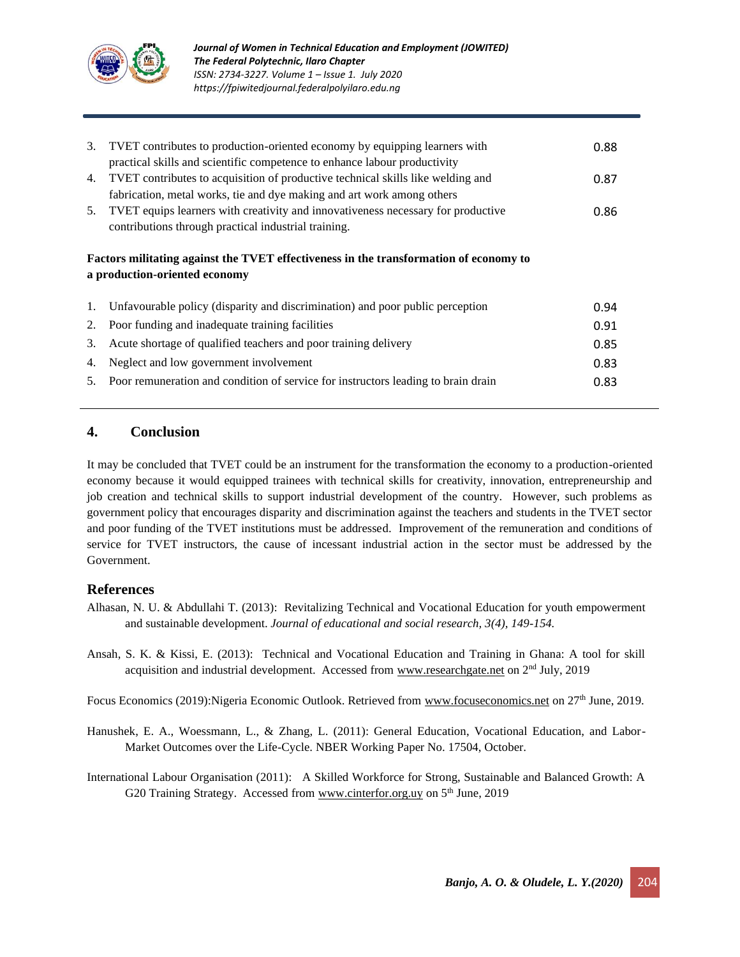

| 3. | TVET contributes to production-oriented economy by equipping learners with<br>practical skills and scientific competence to enhance labour productivity | 0.88 |
|----|---------------------------------------------------------------------------------------------------------------------------------------------------------|------|
| 4. | TVET contributes to acquisition of productive technical skills like welding and                                                                         | 0.87 |
|    | fabrication, metal works, tie and dye making and art work among others                                                                                  |      |
| 5. | TVET equips learners with creativity and innovativeness necessary for productive                                                                        | 0.86 |
|    | contributions through practical industrial training.                                                                                                    |      |
|    |                                                                                                                                                         |      |
|    | Factors militating against the TVET effectiveness in the transformation of economy to<br>a production-oriented economy                                  |      |
| 1. | Unfavourable policy (disparity and discrimination) and poor public perception                                                                           | 0.94 |
| 2. | Poor funding and inadequate training facilities                                                                                                         | 0.91 |
| 3. | Acute shortage of qualified teachers and poor training delivery                                                                                         | 0.85 |
| 4. | Neglect and low government involvement                                                                                                                  | 0.83 |

## **4. Conclusion**

It may be concluded that TVET could be an instrument for the transformation the economy to a production-oriented economy because it would equipped trainees with technical skills for creativity, innovation, entrepreneurship and job creation and technical skills to support industrial development of the country. However, such problems as government policy that encourages disparity and discrimination against the teachers and students in the TVET sector and poor funding of the TVET institutions must be addressed. Improvement of the remuneration and conditions of service for TVET instructors, the cause of incessant industrial action in the sector must be addressed by the Government.

## **References**

- Alhasan, N. U. & Abdullahi T. (2013): Revitalizing Technical and Vocational Education for youth empowerment and sustainable development. *Journal of educational and social research, 3(4), 149-154.*
- Ansah, S. K. & Kissi, E. (2013): Technical and Vocational Education and Training in Ghana: A tool for skill acquisition and industrial development. Accessed from [www.researchgate.net](http://www.researchgate.net/) on  $2<sup>nd</sup>$  July, 2019

Focus Economics (2019):Nigeria Economic Outlook. Retrieved from [www.focuseconomics.net](http://www.focuseconomics.net/) on 27th June, 2019.

- Hanushek, E. A., Woessmann, L., & Zhang, L. (2011): General Education, Vocational Education, and Labor-Market Outcomes over the Life-Cycle. NBER Working Paper No. 17504, October.
- International Labour Organisation (2011): A Skilled Workforce for Strong, Sustainable and Balanced Growth: A G20 Training Strategy. Accessed from [www.cinterfor.org.uy](http://www.cinterfor.org.uy/) on 5<sup>th</sup> June, 2019